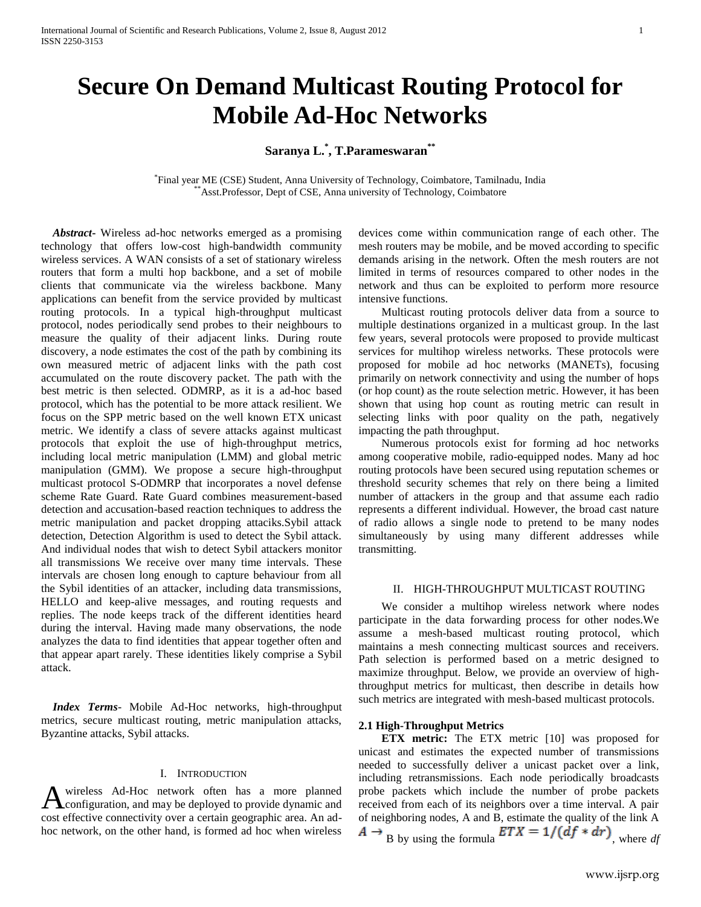# **Secure On Demand Multicast Routing Protocol for Mobile Ad-Hoc Networks**

## **Saranya L. \* , T.Parameswaran\*\***

\* Final year ME (CSE) Student, Anna University of Technology, Coimbatore, Tamilnadu, India Asst.Professor, Dept of CSE, Anna university of Technology, Coimbatore

 *Abstract***-** Wireless ad-hoc networks emerged as a promising technology that offers low-cost high-bandwidth community wireless services. A WAN consists of a set of stationary wireless routers that form a multi hop backbone, and a set of mobile clients that communicate via the wireless backbone. Many applications can benefit from the service provided by multicast routing protocols. In a typical high-throughput multicast protocol, nodes periodically send probes to their neighbours to measure the quality of their adjacent links. During route discovery, a node estimates the cost of the path by combining its own measured metric of adjacent links with the path cost accumulated on the route discovery packet. The path with the best metric is then selected. ODMRP, as it is a ad-hoc based protocol, which has the potential to be more attack resilient. We focus on the SPP metric based on the well known ETX unicast metric. We identify a class of severe attacks against multicast protocols that exploit the use of high-throughput metrics, including local metric manipulation (LMM) and global metric manipulation (GMM). We propose a secure high-throughput multicast protocol S-ODMRP that incorporates a novel defense scheme Rate Guard. Rate Guard combines measurement-based detection and accusation-based reaction techniques to address the metric manipulation and packet dropping attaciks.Sybil attack detection, Detection Algorithm is used to detect the Sybil attack. And individual nodes that wish to detect Sybil attackers monitor all transmissions We receive over many time intervals. These intervals are chosen long enough to capture behaviour from all the Sybil identities of an attacker, including data transmissions, HELLO and keep-alive messages, and routing requests and replies. The node keeps track of the different identities heard during the interval. Having made many observations, the node analyzes the data to find identities that appear together often and that appear apart rarely. These identities likely comprise a Sybil attack.

 *Index Terms*- Mobile Ad-Hoc networks, high-throughput metrics, secure multicast routing, metric manipulation attacks, Byzantine attacks, Sybil attacks.

## I. INTRODUCTION

wireless Ad-Hoc network often has a more planned configuration, and may be deployed to provide dynamic and A wireless Ad-Hoc network often has a more planned<br>cost effective connectivity over a certain geographic area. An adhoc network, on the other hand, is formed ad hoc when wireless devices come within communication range of each other. The mesh routers may be mobile, and be moved according to specific demands arising in the network. Often the mesh routers are not limited in terms of resources compared to other nodes in the network and thus can be exploited to perform more resource intensive functions.

 Multicast routing protocols deliver data from a source to multiple destinations organized in a multicast group. In the last few years, several protocols were proposed to provide multicast services for multihop wireless networks. These protocols were proposed for mobile ad hoc networks (MANETs), focusing primarily on network connectivity and using the number of hops (or hop count) as the route selection metric. However, it has been shown that using hop count as routing metric can result in selecting links with poor quality on the path, negatively impacting the path throughput.

 Numerous protocols exist for forming ad hoc networks among cooperative mobile, radio-equipped nodes. Many ad hoc routing protocols have been secured using reputation schemes or threshold security schemes that rely on there being a limited number of attackers in the group and that assume each radio represents a different individual. However, the broad cast nature of radio allows a single node to pretend to be many nodes simultaneously by using many different addresses while transmitting.

### II. HIGH-THROUGHPUT MULTICAST ROUTING

 We consider a multihop wireless network where nodes participate in the data forwarding process for other nodes.We assume a mesh-based multicast routing protocol, which maintains a mesh connecting multicast sources and receivers. Path selection is performed based on a metric designed to maximize throughput. Below, we provide an overview of highthroughput metrics for multicast, then describe in details how such metrics are integrated with mesh-based multicast protocols.

## **2.1 High-Throughput Metrics**

 **ETX metric:** The ETX metric [10] was proposed for unicast and estimates the expected number of transmissions needed to successfully deliver a unicast packet over a link, including retransmissions. Each node periodically broadcasts probe packets which include the number of probe packets received from each of its neighbors over a time interval. A pair of neighboring nodes, A and B, estimate the quality of the link A  $A \rightarrow B$  by using the formula  $ETX = 1/(df * dr)$ , where *df*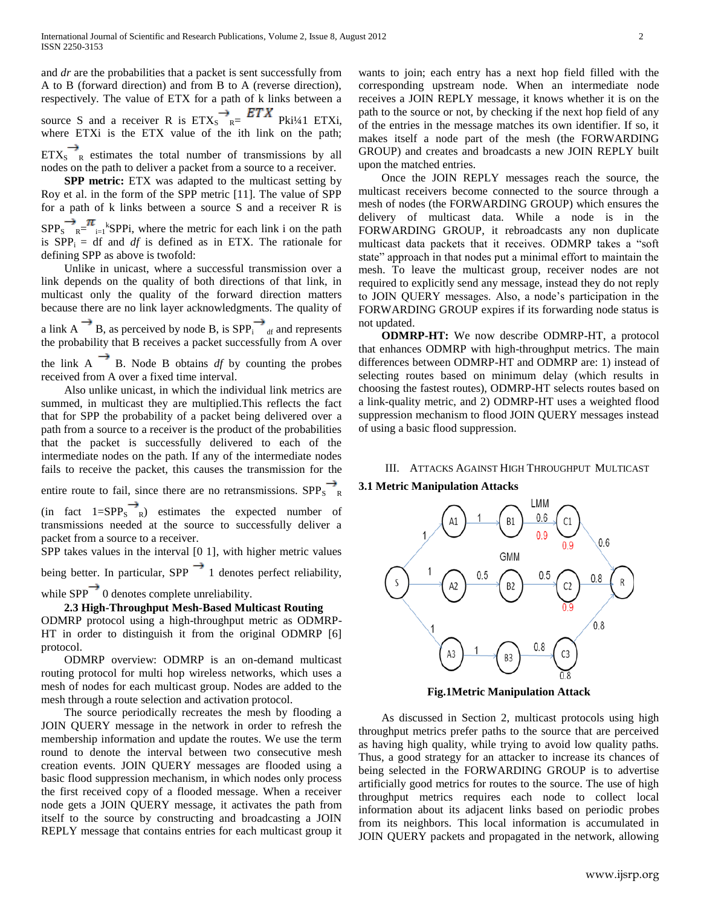and *dr* are the probabilities that a packet is sent successfully from A to B (forward direction) and from B to A (reverse direction), respectively. The value of ETX for a path of k links between a source S and a receiver R is  $ETX_S$   $R = 21.4$  Pki<sup>1</sup>/41 ETXi, where ETXi is the ETX value of the ith link on the path;  $ETX_S \rightarrow_R$  estimates the total number of transmissions by all nodes on the path to deliver a packet from a source to a receiver.

 **SPP metric:** ETX was adapted to the multicast setting by Roy et al. in the form of the SPP metric [11]. The value of SPP for a path of k links between a source S and a receiver R is  $SPP<sub>S</sub>$ <sup>n</sup><sub>R</sub>=<sup>n</sup><sub>i=1</sub><sup>k</sup>SPPi, where the metric for each link i on the path is  $SPP_i = df$  and *df* is defined as in ETX. The rationale for defining SPP as above is twofold:

 Unlike in unicast, where a successful transmission over a link depends on the quality of both directions of that link, in multicast only the quality of the forward direction matters because there are no link layer acknowledgments. The quality of

a link A  $\overline{B}$ , as perceived by node B, is SPP<sub>i</sub>  $\overline{a}$  and represents the probability that B receives a packet successfully from A over the link  $A \rightarrow B$ . Node B obtains *df* by counting the probes received from A over a fixed time interval.

 Also unlike unicast, in which the individual link metrics are summed, in multicast they are multiplied.This reflects the fact that for SPP the probability of a packet being delivered over a path from a source to a receiver is the product of the probabilities that the packet is successfully delivered to each of the intermediate nodes on the path. If any of the intermediate nodes fails to receive the packet, this causes the transmission for the

entire route to fail, since there are no retransmissions.  $SPP_S \rightarrow_R$ 

(in fact  $1=SPP_S \rightarrow R$ ) estimates the expected number of transmissions needed at the source to successfully deliver a packet from a source to a receiver.

SPP takes values in the interval [0 1], with higher metric values

being better. In particular, SPP  $\rightarrow$  1 denotes perfect reliability,

while  $SPP$ <sup> $\rightarrow$ </sup> 0 denotes complete unreliability.

## **2.3 High-Throughput Mesh-Based Multicast Routing**

ODMRP protocol using a high-throughput metric as ODMRP-HT in order to distinguish it from the original ODMRP [6] protocol.

 ODMRP overview: ODMRP is an on-demand multicast routing protocol for multi hop wireless networks, which uses a mesh of nodes for each multicast group. Nodes are added to the mesh through a route selection and activation protocol.

 The source periodically recreates the mesh by flooding a JOIN QUERY message in the network in order to refresh the membership information and update the routes. We use the term round to denote the interval between two consecutive mesh creation events. JOIN QUERY messages are flooded using a basic flood suppression mechanism, in which nodes only process the first received copy of a flooded message. When a receiver node gets a JOIN QUERY message, it activates the path from itself to the source by constructing and broadcasting a JOIN REPLY message that contains entries for each multicast group it

wants to join; each entry has a next hop field filled with the corresponding upstream node. When an intermediate node receives a JOIN REPLY message, it knows whether it is on the path to the source or not, by checking if the next hop field of any of the entries in the message matches its own identifier. If so, it makes itself a node part of the mesh (the FORWARDING GROUP) and creates and broadcasts a new JOIN REPLY built upon the matched entries.

 Once the JOIN REPLY messages reach the source, the multicast receivers become connected to the source through a mesh of nodes (the FORWARDING GROUP) which ensures the delivery of multicast data. While a node is in the FORWARDING GROUP, it rebroadcasts any non duplicate multicast data packets that it receives. ODMRP takes a "soft state" approach in that nodes put a minimal effort to maintain the mesh. To leave the multicast group, receiver nodes are not required to explicitly send any message, instead they do not reply to JOIN QUERY messages. Also, a node's participation in the FORWARDING GROUP expires if its forwarding node status is not updated.

 **ODMRP-HT:** We now describe ODMRP-HT, a protocol that enhances ODMRP with high-throughput metrics. The main differences between ODMRP-HT and ODMRP are: 1) instead of selecting routes based on minimum delay (which results in choosing the fastest routes), ODMRP-HT selects routes based on a link-quality metric, and 2) ODMRP-HT uses a weighted flood suppression mechanism to flood JOIN QUERY messages instead of using a basic flood suppression.

III. ATTACKS AGAINST HIGH THROUGHPUT MULTICAST

## **3.1 Metric Manipulation Attacks**



**Fig.1Metric Manipulation Attack**

 As discussed in Section 2, multicast protocols using high throughput metrics prefer paths to the source that are perceived as having high quality, while trying to avoid low quality paths. Thus, a good strategy for an attacker to increase its chances of being selected in the FORWARDING GROUP is to advertise artificially good metrics for routes to the source. The use of high throughput metrics requires each node to collect local information about its adjacent links based on periodic probes from its neighbors. This local information is accumulated in JOIN QUERY packets and propagated in the network, allowing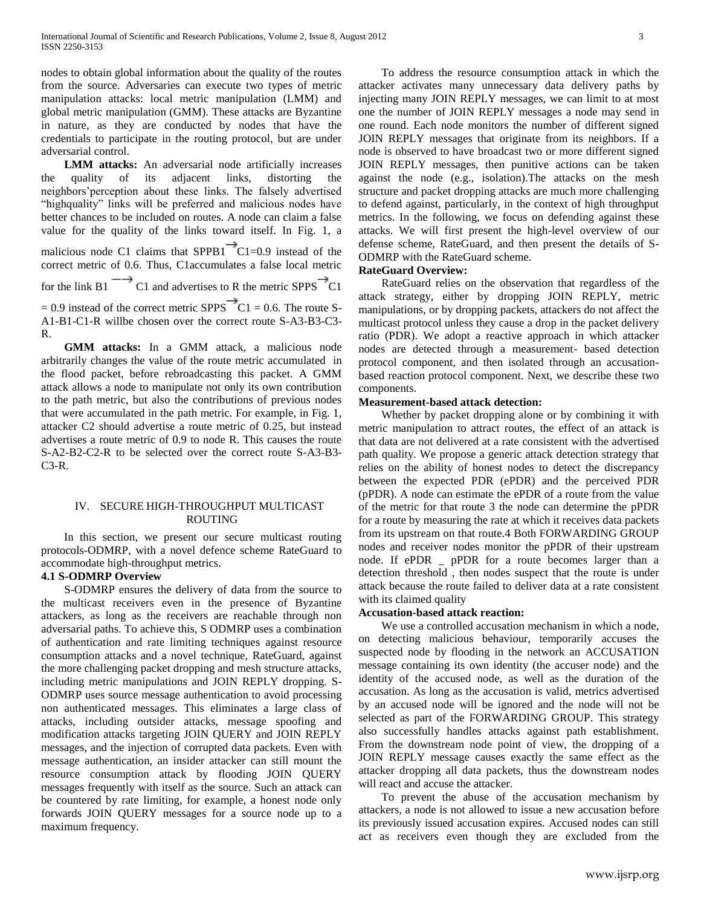nodes to obtain global information about the quality of the routes from the source. Adversaries can execute two types of metric manipulation attacks: local metric manipulation (LMM) and global metric manipulation (GMM). These attacks are Byzantine in nature, as they are conducted by nodes that have the credentials to participate in the routing protocol, but are under adversarial control.

 **LMM attacks:** An adversarial node artificially increases the quality of its adjacent links, distorting the neighbors'perception about these links. The falsely advertised "highquality" links will be preferred and malicious nodes have better chances to be included on routes. A node can claim a false value for the quality of the links toward itself. In Fig. 1, a malicious node C1 claims that  $SPPB1$ <sup> $\rightarrow$ </sup>C1=0.9 instead of the correct metric of 0.6. Thus, C1accumulates a false local metric for the link B1  $\rightarrow$  C1 and advertises to R the metric SPPS  $\rightarrow$  C1  $= 0.9$  instead of the correct metric SPPS  $\overline{C}C1 = 0.6$ . The route S-A1-B1-C1-R willbe chosen over the correct route S-A3-B3-C3- R.

 **GMM attacks:** In a GMM attack, a malicious node arbitrarily changes the value of the route metric accumulated in the flood packet, before rebroadcasting this packet. A GMM attack allows a node to manipulate not only its own contribution to the path metric, but also the contributions of previous nodes that were accumulated in the path metric. For example, in Fig. 1, attacker C2 should advertise a route metric of 0.25, but instead advertises a route metric of 0.9 to node R. This causes the route S-A2-B2-C2-R to be selected over the correct route S-A3-B3- C3-R.

## IV. SECURE HIGH-THROUGHPUT MULTICAST ROUTING

 In this section, we present our secure multicast routing protocols-ODMRP, with a novel defence scheme RateGuard to accommodate high-throughput metrics.

## **4.1 S-ODMRP Overview**

 S-ODMRP ensures the delivery of data from the source to the multicast receivers even in the presence of Byzantine attackers, as long as the receivers are reachable through non adversarial paths. To achieve this, S ODMRP uses a combination of authentication and rate limiting techniques against resource consumption attacks and a novel technique, RateGuard, against the more challenging packet dropping and mesh structure attacks, including metric manipulations and JOIN REPLY dropping. S-ODMRP uses source message authentication to avoid processing non authenticated messages. This eliminates a large class of attacks, including outsider attacks, message spoofing and modification attacks targeting JOIN QUERY and JOIN REPLY messages, and the injection of corrupted data packets. Even with message authentication, an insider attacker can still mount the resource consumption attack by flooding JOIN QUERY messages frequently with itself as the source. Such an attack can be countered by rate limiting, for example, a honest node only forwards JOIN QUERY messages for a source node up to a maximum frequency.

 To address the resource consumption attack in which the attacker activates many unnecessary data delivery paths by injecting many JOIN REPLY messages, we can limit to at most one the number of JOIN REPLY messages a node may send in one round. Each node monitors the number of different signed JOIN REPLY messages that originate from its neighbors. If a node is observed to have broadcast two or more different signed JOIN REPLY messages, then punitive actions can be taken against the node (e.g., isolation).The attacks on the mesh structure and packet dropping attacks are much more challenging to defend against, particularly, in the context of high throughput metrics. In the following, we focus on defending against these attacks. We will first present the high-level overview of our defense scheme, RateGuard, and then present the details of S-ODMRP with the RateGuard scheme.

## **RateGuard Overview:**

 RateGuard relies on the observation that regardless of the attack strategy, either by dropping JOIN REPLY, metric manipulations, or by dropping packets, attackers do not affect the multicast protocol unless they cause a drop in the packet delivery ratio (PDR). We adopt a reactive approach in which attacker nodes are detected through a measurement- based detection protocol component, and then isolated through an accusationbased reaction protocol component. Next, we describe these two components.

## **Measurement-based attack detection:**

 Whether by packet dropping alone or by combining it with metric manipulation to attract routes, the effect of an attack is that data are not delivered at a rate consistent with the advertised path quality. We propose a generic attack detection strategy that relies on the ability of honest nodes to detect the discrepancy between the expected PDR (ePDR) and the perceived PDR (pPDR). A node can estimate the ePDR of a route from the value of the metric for that route 3 the node can determine the pPDR for a route by measuring the rate at which it receives data packets from its upstream on that route.4 Both FORWARDING GROUP nodes and receiver nodes monitor the pPDR of their upstream node. If ePDR \_ pPDR for a route becomes larger than a detection threshold , then nodes suspect that the route is under attack because the route failed to deliver data at a rate consistent with its claimed quality

## **Accusation-based attack reaction:**

 We use a controlled accusation mechanism in which a node, on detecting malicious behaviour, temporarily accuses the suspected node by flooding in the network an ACCUSATION message containing its own identity (the accuser node) and the identity of the accused node, as well as the duration of the accusation. As long as the accusation is valid, metrics advertised by an accused node will be ignored and the node will not be selected as part of the FORWARDING GROUP. This strategy also successfully handles attacks against path establishment. From the downstream node point of view, the dropping of a JOIN REPLY message causes exactly the same effect as the attacker dropping all data packets, thus the downstream nodes will react and accuse the attacker.

 To prevent the abuse of the accusation mechanism by attackers, a node is not allowed to issue a new accusation before its previously issued accusation expires. Accused nodes can still act as receivers even though they are excluded from the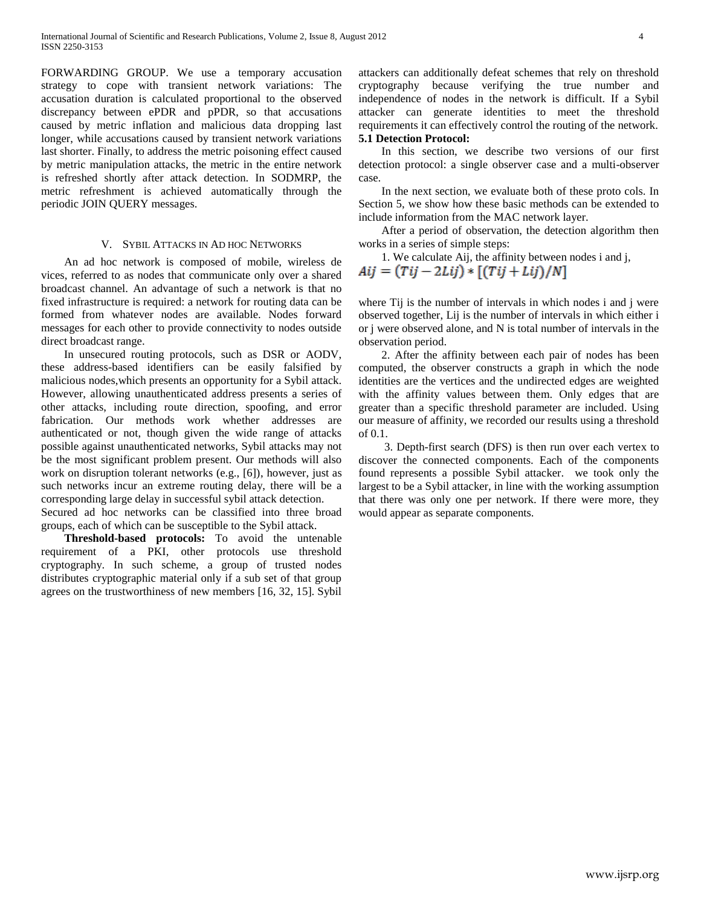FORWARDING GROUP. We use a temporary accusation strategy to cope with transient network variations: The accusation duration is calculated proportional to the observed discrepancy between ePDR and pPDR, so that accusations caused by metric inflation and malicious data dropping last longer, while accusations caused by transient network variations last shorter. Finally, to address the metric poisoning effect caused by metric manipulation attacks, the metric in the entire network is refreshed shortly after attack detection. In SODMRP, the metric refreshment is achieved automatically through the periodic JOIN QUERY messages.

#### V. SYBIL ATTACKS IN AD HOC NETWORKS

 An ad hoc network is composed of mobile, wireless de vices, referred to as nodes that communicate only over a shared broadcast channel. An advantage of such a network is that no fixed infrastructure is required: a network for routing data can be formed from whatever nodes are available. Nodes forward messages for each other to provide connectivity to nodes outside direct broadcast range.

 In unsecured routing protocols, such as DSR or AODV, these address-based identifiers can be easily falsified by malicious nodes,which presents an opportunity for a Sybil attack. However, allowing unauthenticated address presents a series of other attacks, including route direction, spoofing, and error fabrication. Our methods work whether addresses are authenticated or not, though given the wide range of attacks possible against unauthenticated networks, Sybil attacks may not be the most significant problem present. Our methods will also work on disruption tolerant networks (e.g., [6]), however, just as such networks incur an extreme routing delay, there will be a corresponding large delay in successful sybil attack detection.

Secured ad hoc networks can be classified into three broad groups, each of which can be susceptible to the Sybil attack.

 **Threshold-based protocols:** To avoid the untenable requirement of a PKI, other protocols use threshold cryptography. In such scheme, a group of trusted nodes distributes cryptographic material only if a sub set of that group agrees on the trustworthiness of new members [16, 32, 15]. Sybil attackers can additionally defeat schemes that rely on threshold cryptography because verifying the true number and independence of nodes in the network is difficult. If a Sybil attacker can generate identities to meet the threshold requirements it can effectively control the routing of the network.

#### **5.1 Detection Protocol:**

 In this section, we describe two versions of our first detection protocol: a single observer case and a multi-observer case.

 In the next section, we evaluate both of these proto cols. In Section 5, we show how these basic methods can be extended to include information from the MAC network layer.

 After a period of observation, the detection algorithm then works in a series of simple steps:

1. We calculate Aij, the affinity between nodes i and j,

 $Aij = (Tij - 2Lij) * [(Tij + Lij)/N]$ 

where Tij is the number of intervals in which nodes i and j were observed together, Lij is the number of intervals in which either i or j were observed alone, and N is total number of intervals in the observation period.

 2. After the affinity between each pair of nodes has been computed, the observer constructs a graph in which the node identities are the vertices and the undirected edges are weighted with the affinity values between them. Only edges that are greater than a specific threshold parameter are included. Using our measure of affinity, we recorded our results using a threshold of 0.1.

 3. Depth-first search (DFS) is then run over each vertex to discover the connected components. Each of the components found represents a possible Sybil attacker. we took only the largest to be a Sybil attacker, in line with the working assumption that there was only one per network. If there were more, they would appear as separate components.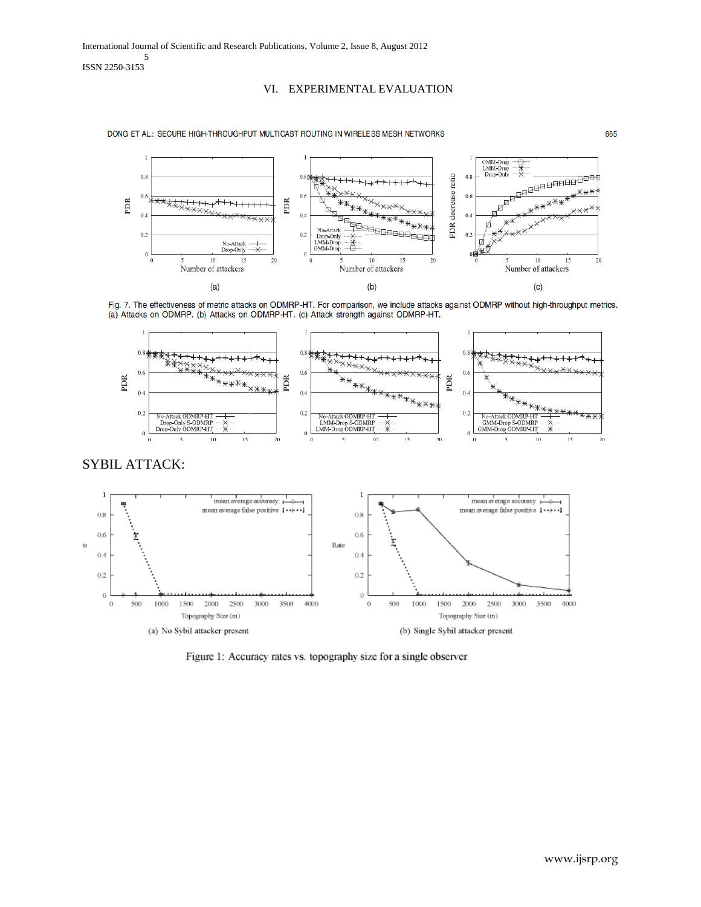## VI. EXPERIMENTAL EVALUATION

DONG ET AL.: SECURE HIGH-THROUGHPUT MULTICAST ROUTING IN WIRELESS MESH NETWORKS











Figure 1: Accuracy rates vs. topography size for a single observer

665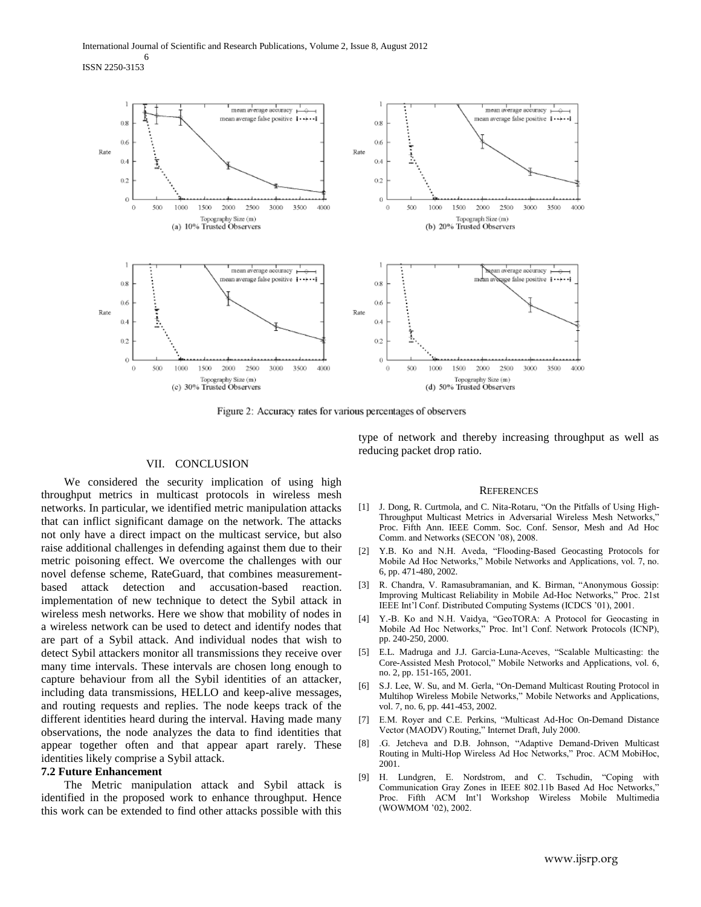ISSN 2250-3153



Figure 2: Accuracy rates for various percentages of observers

### VII. CONCLUSION

 We considered the security implication of using high throughput metrics in multicast protocols in wireless mesh networks. In particular, we identified metric manipulation attacks that can inflict significant damage on the network. The attacks not only have a direct impact on the multicast service, but also raise additional challenges in defending against them due to their metric poisoning effect. We overcome the challenges with our novel defense scheme, RateGuard, that combines measurementbased attack detection and accusation-based reaction. implementation of new technique to detect the Sybil attack in wireless mesh networks. Here we show that mobility of nodes in a wireless network can be used to detect and identify nodes that are part of a Sybil attack. And individual nodes that wish to detect Sybil attackers monitor all transmissions they receive over many time intervals. These intervals are chosen long enough to capture behaviour from all the Sybil identities of an attacker, including data transmissions, HELLO and keep-alive messages, and routing requests and replies. The node keeps track of the different identities heard during the interval. Having made many observations, the node analyzes the data to find identities that appear together often and that appear apart rarely. These identities likely comprise a Sybil attack.

### **7.2 Future Enhancement**

 The Metric manipulation attack and Sybil attack is identified in the proposed work to enhance throughput. Hence this work can be extended to find other attacks possible with this type of network and thereby increasing throughput as well as reducing packet drop ratio.

#### REFERENCES

- [1] J. Dong, R. Curtmola, and C. Nita-Rotaru, "On the Pitfalls of Using High-Throughput Multicast Metrics in Adversarial Wireless Mesh Networks," Proc. Fifth Ann. IEEE Comm. Soc. Conf. Sensor, Mesh and Ad Hoc Comm. and Networks (SECON '08), 2008.
- [2] Y.B. Ko and N.H. Aveda, "Flooding-Based Geocasting Protocols for Mobile Ad Hoc Networks," Mobile Networks and Applications, vol. 7, no. 6, pp. 471-480, 2002.
- [3] R. Chandra, V. Ramasubramanian, and K. Birman, "Anonymous Gossip: Improving Multicast Reliability in Mobile Ad-Hoc Networks," Proc. 21st IEEE Int'l Conf. Distributed Computing Systems (ICDCS '01), 2001.
- [4] Y.-B. Ko and N.H. Vaidya, "GeoTORA: A Protocol for Geocasting in Mobile Ad Hoc Networks," Proc. Int'l Conf. Network Protocols (ICNP), pp. 240-250, 2000.
- [5] E.L. Madruga and J.J. Garcia-Luna-Aceves, "Scalable Multicasting: the Core-Assisted Mesh Protocol," Mobile Networks and Applications, vol. 6, no. 2, pp. 151-165, 2001.
- [6] S.J. Lee, W. Su, and M. Gerla, "On-Demand Multicast Routing Protocol in Multihop Wireless Mobile Networks," Mobile Networks and Applications, vol. 7, no. 6, pp. 441-453, 2002.
- [7] E.M. Royer and C.E. Perkins, "Multicast Ad-Hoc On-Demand Distance Vector (MAODV) Routing," Internet Draft, July 2000.
- [8] .G. Jetcheva and D.B. Johnson, "Adaptive Demand-Driven Multicast Routing in Multi-Hop Wireless Ad Hoc Networks," Proc. ACM MobiHoc, 2001.
- [9] H. Lundgren, E. Nordstrom, and C. Tschudin, "Coping with Communication Gray Zones in IEEE 802.11b Based Ad Hoc Networks," Proc. Fifth ACM Int'l Workshop Wireless Mobile Multimedia (WOWMOM '02), 2002.